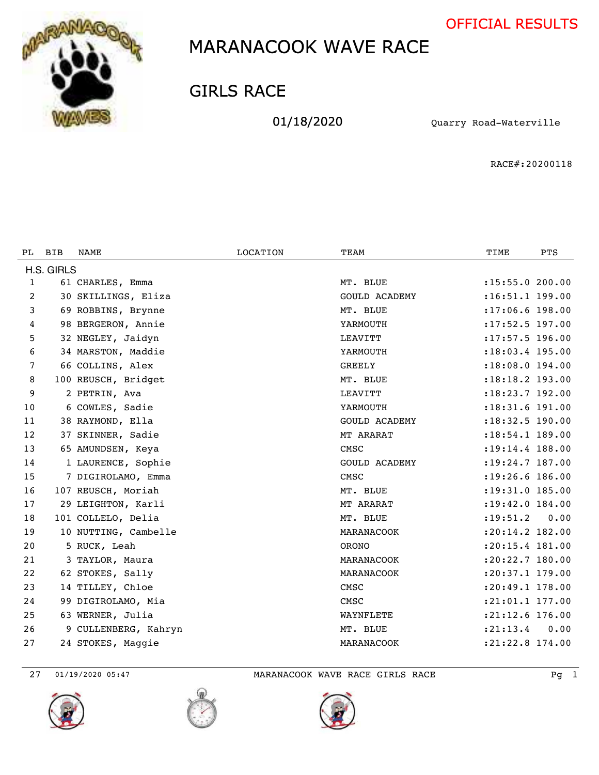



### GIRLS RACE

01/18/2020 Quarry Road-Waterville

RACE#:20200118

| PL.          | <b>BIB</b> | <b>NAME</b>          | <b>LOCATION</b> | TEAM                 | TIME                | <b>PTS</b> |
|--------------|------------|----------------------|-----------------|----------------------|---------------------|------------|
|              | H.S. GIRLS |                      |                 |                      |                     |            |
| $\mathbf{1}$ |            | 61 CHARLES, Emma     |                 | MT. BLUE             | : 15: 55.0 200.00   |            |
| 2            |            | 30 SKILLINGS, Eliza  |                 | <b>GOULD ACADEMY</b> | :16:51.1 199.00     |            |
| 3            |            | 69 ROBBINS, Brynne   |                 | MT. BLUE             | $: 17:06.6$ 198.00  |            |
| 4            |            | 98 BERGERON, Annie   |                 | YARMOUTH             | :17:52.5 197.00     |            |
| 5            |            | 32 NEGLEY, Jaidyn    |                 | LEAVITT              | :17:57.5 196.00     |            |
| 6            |            | 34 MARSTON, Maddie   |                 | YARMOUTH             | :18:03.4 195.00     |            |
| 7            |            | 66 COLLINS, Alex     |                 | <b>GREELY</b>        | :18:08.0 194.00     |            |
| 8            |            | 100 REUSCH, Bridget  |                 | MT. BLUE             | :18:18.2 193.00     |            |
| 9            |            | 2 PETRIN, Ava        |                 | LEAVITT              | :18:23.7 192.00     |            |
| 10           |            | 6 COWLES, Sadie      |                 | YARMOUTH             | :18:31.6 191.00     |            |
| 11           |            | 38 RAYMOND, Ella     |                 | <b>GOULD ACADEMY</b> | : 18: 32.5 190.00   |            |
| 12           |            | 37 SKINNER, Sadie    |                 | MT ARARAT            | :18:54.1 189.00     |            |
| 13           |            | 65 AMUNDSEN, Keya    |                 | CMSC                 | :19:14.4 188.00     |            |
| 14           |            | 1 LAURENCE, Sophie   |                 | <b>GOULD ACADEMY</b> | $: 19: 24.7$ 187.00 |            |
| 15           |            | 7 DIGIROLAMO, Emma   |                 | CMSC                 | $: 19: 26.6$ 186.00 |            |
| 16           |            | 107 REUSCH, Moriah   |                 | MT. BLUE             | :19:31.0 185.00     |            |
| 17           |            | 29 LEIGHTON, Karli   |                 | MT ARARAT            | :19:42.0 184.00     |            |
| 18           |            | 101 COLLELO, Delia   |                 | MT. BLUE             | : 19: 51.2          | 0.00       |
| 19           |            | 10 NUTTING, Cambelle |                 | MARANACOOK           | $: 20:14.2$ 182.00  |            |
| 20           |            | 5 RUCK, Leah         |                 | <b>ORONO</b>         | :20:15.4 181.00     |            |
| 21           |            | 3 TAYLOR, Maura      |                 | MARANACOOK           | :20:22.7 180.00     |            |
| 22           |            | 62 STOKES, Sally     |                 | MARANACOOK           | :20:37.1 179.00     |            |
| 23           |            | 14 TILLEY, Chloe     |                 | CMSC                 | :20:49.1 178.00     |            |
| 24           |            | 99 DIGIROLAMO, Mia   |                 | CMSC                 | :21:01.1 177.00     |            |
| 25           |            | 63 WERNER, Julia     |                 | WAYNFLETE            | :21:12.6 176.00     |            |
| 26           |            | 9 CULLENBERG, Kahryn |                 | MT. BLUE             | : 21: 13.4          | 0.00       |
| 27           |            | 24 STOKES, Maggie    |                 | MARANACOOK           | :21:22.8 174.00     |            |

01/19/2020 05:47 MARANACOOK WAVE RACE GIRLS RACE Pg 1





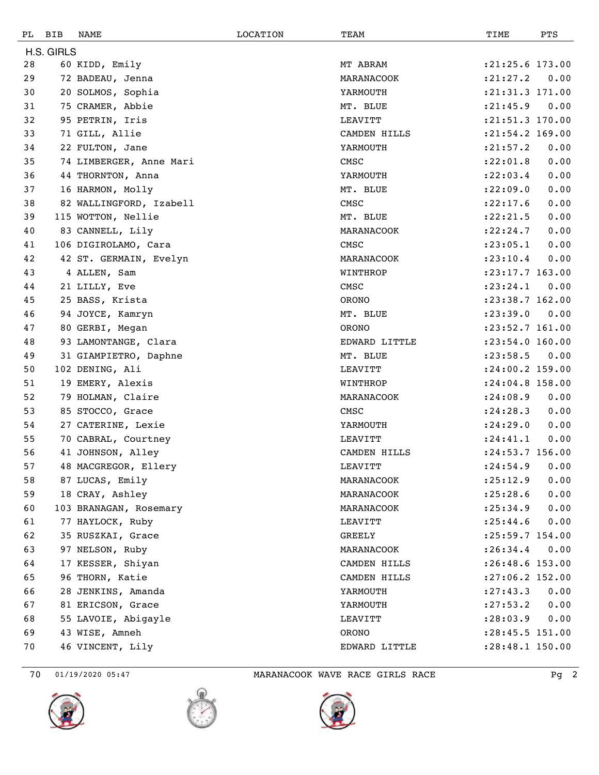| PL | <b>BIB</b> | NAME                    | <b>LOCATION</b> | TEAM          | TIME                | PTS  |
|----|------------|-------------------------|-----------------|---------------|---------------------|------|
|    | H.S. GIRLS |                         |                 |               |                     |      |
| 28 |            | 60 KIDD, Emily          |                 | MT ABRAM      | $: 21: 25.6$ 173.00 |      |
| 29 |            | 72 BADEAU, Jenna        |                 | MARANACOOK    | : 21: 27.2          | 0.00 |
| 30 |            | 20 SOLMOS, Sophia       |                 | YARMOUTH      | $: 21: 31.3$ 171.00 |      |
| 31 |            | 75 CRAMER, Abbie        |                 | MT. BLUE      | : 21: 45.9          | 0.00 |
| 32 |            | 95 PETRIN, Iris         |                 | LEAVITT       | :21:51.3 170.00     |      |
| 33 |            | 71 GILL, Allie          |                 | CAMDEN HILLS  | :21:54.2 169.00     |      |
| 34 |            | 22 FULTON, Jane         |                 | YARMOUTH      | : 21: 57.2          | 0.00 |
| 35 |            | 74 LIMBERGER, Anne Mari |                 | CMSC          | : 22:01.8           | 0.00 |
| 36 |            | 44 THORNTON, Anna       |                 | YARMOUTH      | : 22:03.4           | 0.00 |
| 37 |            | 16 HARMON, Molly        |                 | MT. BLUE      | : 22:09.0           | 0.00 |
| 38 |            | 82 WALLINGFORD, Izabell |                 | CMSC          | : 22: 17.6          | 0.00 |
| 39 |            | 115 WOTTON, Nellie      |                 | MT. BLUE      | : 22: 21.5          | 0.00 |
| 40 |            | 83 CANNELL, Lily        |                 | MARANACOOK    | : 22: 24.7          | 0.00 |
| 41 |            | 106 DIGIROLAMO, Cara    |                 | CMSC          | : 23: 05.1          | 0.00 |
| 42 |            | 42 ST. GERMAIN, Evelyn  |                 | MARANACOOK    | : 23: 10.4          | 0.00 |
| 43 |            | 4 ALLEN, Sam            |                 | WINTHROP      | :23:17.7 163.00     |      |
| 44 |            | 21 LILLY, Eve           |                 | CMSC          | : 23: 24.1          | 0.00 |
| 45 |            | 25 BASS, Krista         |                 | <b>ORONO</b>  | :23:38.7 162.00     |      |
| 46 |            | 94 JOYCE, Kamryn        |                 | MT. BLUE      | : 23: 39.0          | 0.00 |
| 47 |            | 80 GERBI, Megan         |                 | <b>ORONO</b>  | :23:52.7 161.00     |      |
| 48 |            | 93 LAMONTANGE, Clara    |                 | EDWARD LITTLE | : 23:54.0 160.00    |      |
| 49 |            | 31 GIAMPIETRO, Daphne   |                 | MT. BLUE      | : 23: 58.5          | 0.00 |
| 50 |            | 102 DENING, Ali         |                 | LEAVITT       | :24:00.2 159.00     |      |
| 51 |            | 19 EMERY, Alexis        |                 | WINTHROP      | :24:04.8 158.00     |      |
| 52 |            | 79 HOLMAN, Claire       |                 | MARANACOOK    | : 24:08.9           | 0.00 |
| 53 |            | 85 STOCCO, Grace        |                 | CMSC          | : 24:28.3           | 0.00 |
| 54 |            | 27 CATERINE, Lexie      |                 | YARMOUTH      | : 24:29.0           | 0.00 |
| 55 |            | 70 CABRAL, Courtney     |                 | LEAVITT       | : 24: 41.1          | 0.00 |
| 56 |            | 41 JOHNSON, Alley       |                 | CAMDEN HILLS  | :24:53.7 156.00     |      |
| 57 |            | 48 MACGREGOR, Ellery    |                 | LEAVITT       | : 24:54.9 0.00      |      |
| 58 |            | 87 LUCAS, Emily         |                 | MARANACOOK    | : 25: 12.9          | 0.00 |
| 59 |            | 18 CRAY, Ashley         |                 | MARANACOOK    | : 25: 28.6          | 0.00 |
| 60 |            | 103 BRANAGAN, Rosemary  |                 | MARANACOOK    | : 25:34.9           | 0.00 |
| 61 |            | 77 HAYLOCK, Ruby        |                 | LEAVITT       | : 25: 44.6          | 0.00 |
| 62 |            | 35 RUSZKAI, Grace       |                 | GREELY        | $: 25:59.7$ 154.00  |      |
| 63 |            | 97 NELSON, Ruby         |                 | MARANACOOK    | : 26:34.4           | 0.00 |
| 64 |            | 17 KESSER, Shiyan       |                 | CAMDEN HILLS  | :26:48.6 153.00     |      |
| 65 |            | 96 THORN, Katie         |                 | CAMDEN HILLS  | $: 27:06.2$ 152.00  |      |
| 66 |            | 28 JENKINS, Amanda      |                 | YARMOUTH      | : 27: 43.3          | 0.00 |
| 67 |            | 81 ERICSON, Grace       |                 | YARMOUTH      | : 27: 53.2          | 0.00 |
| 68 |            | 55 LAVOIE, Abigayle     |                 | LEAVITT       | : 28:03.9           | 0.00 |
| 69 |            | 43 WISE, Amneh          |                 | ORONO         | :28:45.5 151.00     |      |
| 70 |            | 46 VINCENT, Lily        |                 | EDWARD LITTLE | :28:48.1 150.00     |      |

70 01/19/2020 05:47 MARANACOOK WAVE RACE GIRLS RACE Pg 2





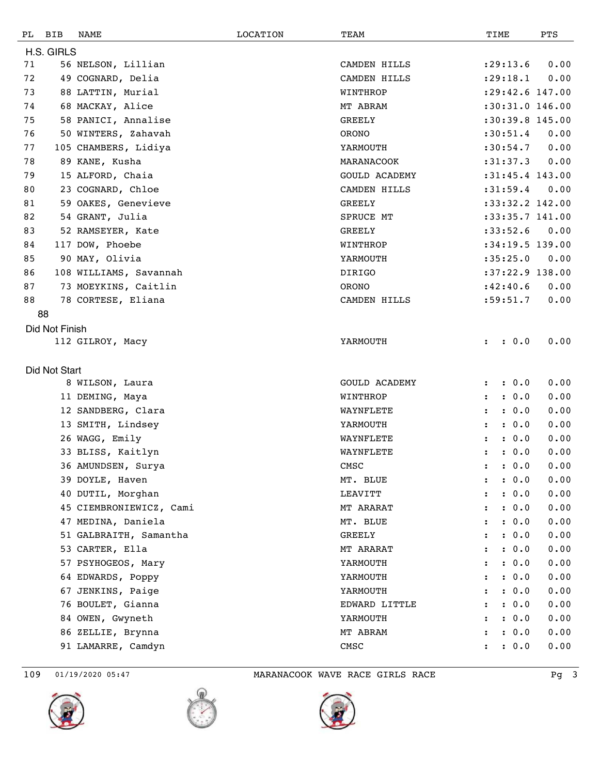| PL | <b>BIB</b>     | NAME                    | LOCATION | TEAM                 | TIME                          | PTS  |
|----|----------------|-------------------------|----------|----------------------|-------------------------------|------|
|    | H.S. GIRLS     |                         |          |                      |                               |      |
| 71 |                | 56 NELSON, Lillian      |          | CAMDEN HILLS         | : 29: 13.6                    | 0.00 |
| 72 |                | 49 COGNARD, Delia       |          | CAMDEN HILLS         | : 29:18.1                     | 0.00 |
| 73 |                | 88 LATTIN, Murial       |          | WINTHROP             | :29:42.6 147.00               |      |
| 74 |                | 68 MACKAY, Alice        |          | MT ABRAM             | :30:31.0 146.00               |      |
| 75 |                | 58 PANICI, Annalise     |          | <b>GREELY</b>        | :30:39.8 145.00               |      |
| 76 |                | 50 WINTERS, Zahavah     |          | ORONO                | :30:51.4                      | 0.00 |
| 77 |                | 105 CHAMBERS, Lidiya    |          | YARMOUTH             | :30:54.7                      | 0.00 |
| 78 |                | 89 KANE, Kusha          |          | MARANACOOK           | :31:37.3                      | 0.00 |
| 79 |                | 15 ALFORD, Chaia        |          | <b>GOULD ACADEMY</b> | :31:45.4 143.00               |      |
| 80 |                | 23 COGNARD, Chloe       |          | CAMDEN HILLS         | :31:59.4                      | 0.00 |
| 81 |                | 59 OAKES, Genevieve     |          | <b>GREELY</b>        | :33:32.2 142.00               |      |
| 82 |                | 54 GRANT, Julia         |          | SPRUCE MT            | :33:35.7 141.00               |      |
| 83 |                | 52 RAMSEYER, Kate       |          | <b>GREELY</b>        | :33:52.6                      | 0.00 |
| 84 |                | 117 DOW, Phoebe         |          | WINTHROP             | :34:19.5 139.00               |      |
| 85 |                | 90 MAY, Olivia          |          | YARMOUTH             | :35:25.0                      | 0.00 |
| 86 |                | 108 WILLIAMS, Savannah  |          | DIRIGO               | :37:22.9 138.00               |      |
| 87 |                | 73 MOEYKINS, Caitlin    |          | ORONO                | :42:40.6                      | 0.00 |
| 88 |                | 78 CORTESE, Eliana      |          | CAMDEN HILLS         | :59:51.7                      | 0.00 |
|    | 88             |                         |          |                      |                               |      |
|    | Did Not Finish |                         |          |                      |                               |      |
|    |                | 112 GILROY, Macy        |          | YARMOUTH             | : 0.0                         | 0.00 |
|    |                |                         |          |                      |                               |      |
|    | Did Not Start  |                         |          |                      |                               |      |
|    |                | 8 WILSON, Laura         |          | <b>GOULD ACADEMY</b> | : 0.0<br>$\ddot{\cdot}$       | 0.00 |
|    |                | 11 DEMING, Maya         |          | WINTHROP             | : 0.0                         | 0.00 |
|    |                | 12 SANDBERG, Clara      |          | WAYNFLETE            | : 0.0<br>$\ddot{\phantom{a}}$ | 0.00 |
|    |                | 13 SMITH, Lindsey       |          | YARMOUTH             | : 0.0<br>$\ddot{\cdot}$       | 0.00 |
|    |                | 26 WAGG, Emily          |          | WAYNFLETE            | : 0.0<br>$\ddot{\cdot}$       | 0.00 |
|    |                | 33 BLISS, Kaitlyn       |          | WAYNFLETE            | : 0.0<br>$\ddot{\cdot}$       | 0.00 |
|    |                | 36 AMUNDSEN, Surya      |          | CMSC                 | : 0.0                         | 0.00 |
|    |                | 39 DOYLE, Haven         |          | MT. BLUE             | : 0.0                         | 0.00 |
|    |                | 40 DUTIL, Morghan       |          | LEAVITT              | : 0.0                         | 0.00 |
|    |                | 45 CIEMBRONIEWICZ, Cami |          | MT ARARAT            | : 0.0<br>$\ddot{\phantom{a}}$ | 0.00 |
|    |                | 47 MEDINA, Daniela      |          | MT. BLUE             | : 0.0                         | 0.00 |
|    |                | 51 GALBRAITH, Samantha  |          | <b>GREELY</b>        | : 0.0                         | 0.00 |
|    |                | 53 CARTER, Ella         |          | MT ARARAT            | : 0.0                         | 0.00 |
|    |                | 57 PSYHOGEOS, Mary      |          | YARMOUTH             | : 0.0<br>$\ddot{\cdot}$       | 0.00 |
|    |                | 64 EDWARDS, Poppy       |          | YARMOUTH             | : 0.0                         | 0.00 |
|    |                | 67 JENKINS, Paige       |          | YARMOUTH             | : 0.0                         | 0.00 |
|    |                | 76 BOULET, Gianna       |          | EDWARD LITTLE        | : 0.0                         | 0.00 |
|    |                | 84 OWEN, Gwyneth        |          | YARMOUTH             | : 0.0                         | 0.00 |
|    |                | 86 ZELLIE, Brynna       |          | MT ABRAM             | : 0.0                         | 0.00 |
|    |                | 91 LAMARRE, Camdyn      |          | CMSC                 | : 0.0                         | 0.00 |
|    |                |                         |          |                      |                               |      |





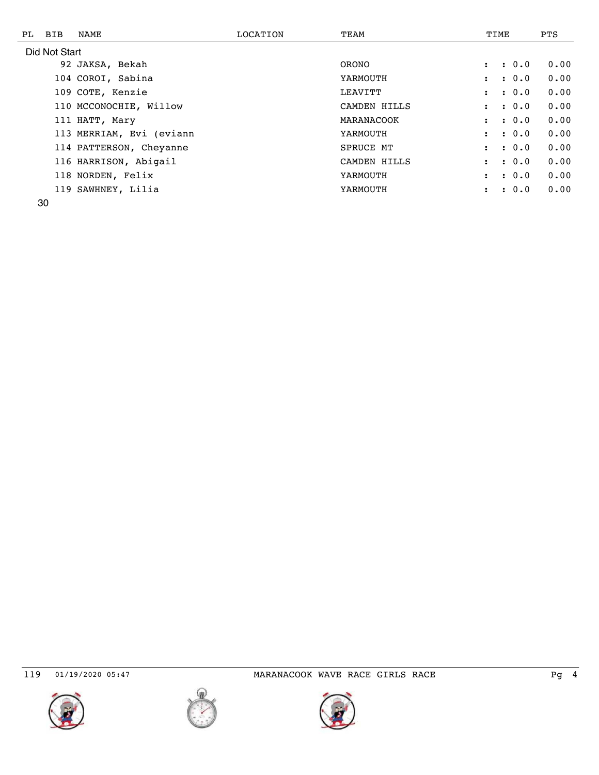| PL BIB        | NAME                     | LOCATION | TEAM             | TIME                          | <b>PTS</b> |
|---------------|--------------------------|----------|------------------|-------------------------------|------------|
| Did Not Start |                          |          |                  |                               |            |
|               | 92 JAKSA, Bekah          |          | <b>ORONO</b>     | : 0.0<br>$\ddot{\phantom{a}}$ | 0.00       |
|               | 104 COROI, Sabina        |          | YARMOUTH         | : 0.0<br>$\ddot{\phantom{a}}$ | 0.00       |
|               | 109 COTE, Kenzie         |          | LEAVITT          | : 0.0<br>$\ddot{\phantom{a}}$ | 0.00       |
|               | 110 MCCONOCHIE, Willow   |          | CAMDEN HILLS     | : 0.0<br>$\ddot{\phantom{a}}$ | 0.00       |
|               | 111 HATT, Mary           |          | MARANACOOK       | : 0.0<br>$\ddot{\phantom{a}}$ | 0.00       |
|               | 113 MERRIAM, Evi (eviann |          | YARMOUTH         | : 0.0<br>$\ddot{\phantom{a}}$ | 0.00       |
|               | 114 PATTERSON, Cheyanne  |          | <b>SPRUCE MT</b> | : 0.0<br>$\ddot{\phantom{a}}$ | 0.00       |
|               | 116 HARRISON, Abigail    |          | CAMDEN HILLS     | : 0.0<br>$\ddot{\phantom{a}}$ | 0.00       |
|               | 118 NORDEN, Felix        |          | YARMOUTH         | : 0.0<br>$\ddot{\phantom{a}}$ | 0.00       |
|               | 119 SAWHNEY, Lilia       |          | YARMOUTH         | : 0.0<br>$\ddot{\phantom{a}}$ | 0.00       |





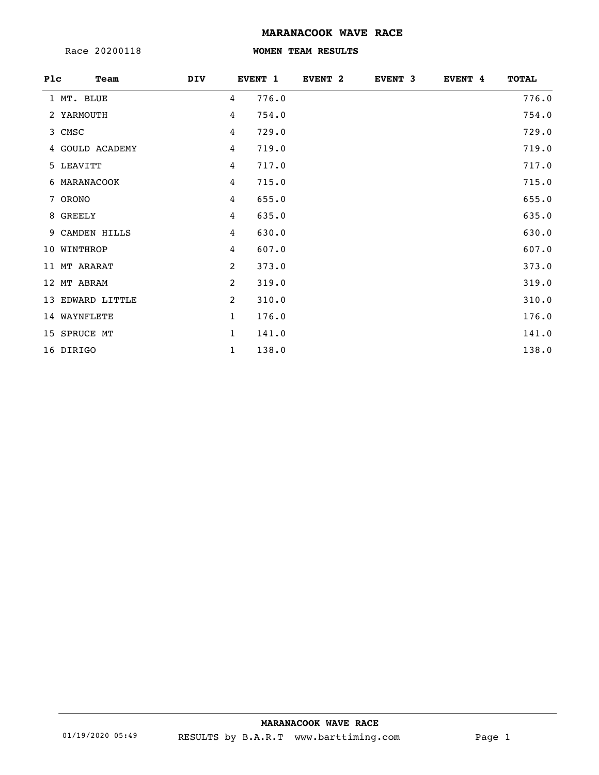Race 20200118

#### **WOMEN TEAM RESULTS**

| Plc |              | Team             | <b>DIV</b>   | EVENT 1 | EVENT <sub>2</sub> | EVENT <sub>3</sub> | EVENT 4 | <b>TOTAL</b> |
|-----|--------------|------------------|--------------|---------|--------------------|--------------------|---------|--------------|
|     | 1 MT. BLUE   |                  | 4            | 776.0   |                    |                    |         | 776.0        |
|     | 2 YARMOUTH   |                  | 4            | 754.0   |                    |                    |         | 754.0        |
|     | 3 CMSC       |                  | 4            | 729.0   |                    |                    |         | 729.0        |
|     |              | 4 GOULD ACADEMY  | 4            | 719.0   |                    |                    |         | 719.0        |
|     | 5 LEAVITT    |                  | 4            | 717.0   |                    |                    |         | 717.0        |
|     | 6 MARANACOOK |                  | 4            | 715.0   |                    |                    |         | 715.0        |
|     | 7 ORONO      |                  | 4            | 655.0   |                    |                    |         | 655.0        |
|     | 8 GREELY     |                  | 4            | 635.0   |                    |                    |         | 635.0        |
|     |              | 9 CAMDEN HILLS   | 4            | 630.0   |                    |                    |         | 630.0        |
|     | 10 WINTHROP  |                  | 4            | 607.0   |                    |                    |         | 607.0        |
|     | 11 MT ARARAT |                  | 2            | 373.0   |                    |                    |         | 373.0        |
|     | 12 MT ABRAM  |                  | 2            | 319.0   |                    |                    |         | 319.0        |
|     |              | 13 EDWARD LITTLE | 2            | 310.0   |                    |                    |         | 310.0        |
|     | 14 WAYNFLETE |                  | $\mathbf{1}$ | 176.0   |                    |                    |         | 176.0        |
|     | 15 SPRUCE MT |                  | $\mathbf{1}$ | 141.0   |                    |                    |         | 141.0        |
|     | 16 DIRIGO    |                  | 1            | 138.0   |                    |                    |         | 138.0        |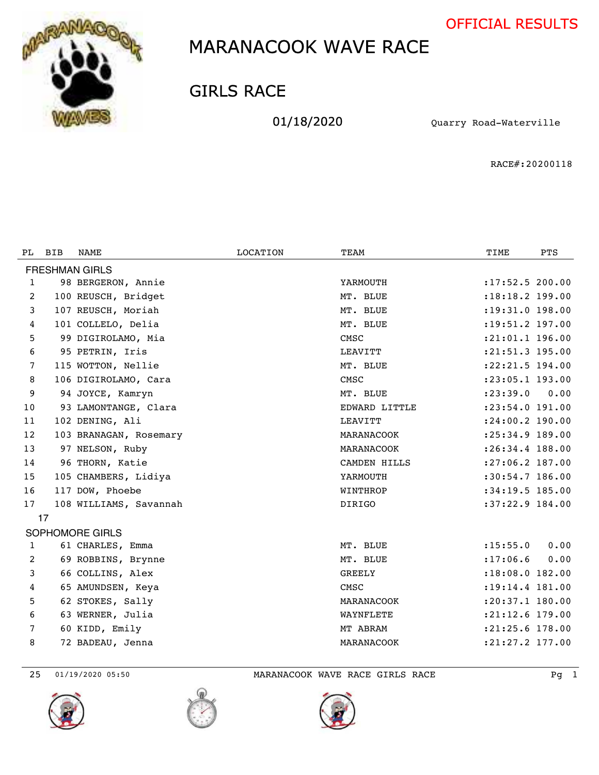



GIRLS RACE

01/18/2020 Quarry Road-Waterville

RACE#:20200118

| PL. | <b>BIB</b> | NAME                   | LOCATION | TEAM          | TIME                | <b>PTS</b> |
|-----|------------|------------------------|----------|---------------|---------------------|------------|
|     |            |                        |          |               |                     |            |
|     |            | <b>FRESHMAN GIRLS</b>  |          |               |                     |            |
| 1   |            | 98 BERGERON, Annie     |          | YARMOUTH      | : 17:52.5 200.00    |            |
| 2   |            | 100 REUSCH, Bridget    |          | MT. BLUE      | :18:18.2 199.00     |            |
| 3   |            | 107 REUSCH, Moriah     |          | MT. BLUE      | : 19: 31.0 198.00   |            |
| 4   |            | 101 COLLELO, Delia     |          | MT. BLUE      | $: 19: 51.2$ 197.00 |            |
| 5   |            | 99 DIGIROLAMO, Mia     |          | CMSC          | :21:01.1 196.00     |            |
| 6   |            | 95 PETRIN, Iris        |          | LEAVITT       | :21:51.3 195.00     |            |
| 7   |            | 115 WOTTON, Nellie     |          | MT. BLUE      | : 22: 21.5 194.00   |            |
| 8   |            | 106 DIGIROLAMO, Cara   |          | CMSC          | :23:05.1 193.00     |            |
| 9   |            | 94 JOYCE, Kamryn       |          | MT. BLUE      | : 23: 39.0          | 0.00       |
| 10  |            | 93 LAMONTANGE, Clara   |          | EDWARD LITTLE | :23:54.0 191.00     |            |
| 11  |            | 102 DENING, Ali        |          | LEAVITT       | :24:00.2 190.00     |            |
| 12  |            | 103 BRANAGAN, Rosemary |          | MARANACOOK    | :25:34.9 189.00     |            |
| 13  |            | 97 NELSON, Ruby        |          | MARANACOOK    | :26:34.4 188.00     |            |
| 14  |            | 96 THORN, Katie        |          | CAMDEN HILLS  | $: 27:06.2$ 187.00  |            |
| 15  |            | 105 CHAMBERS, Lidiya   |          | YARMOUTH      | $:30:54.7$ 186.00   |            |
| 16  |            | 117 DOW, Phoebe        |          | WINTHROP      | $:34:19.5$ 185.00   |            |
| 17  |            | 108 WILLIAMS, Savannah |          | <b>DIRIGO</b> | :37:22.9 184.00     |            |
|     | 17         |                        |          |               |                     |            |
|     |            | SOPHOMORE GIRLS        |          |               |                     |            |
| 1   |            | 61 CHARLES, Emma       |          | MT. BLUE      | : 15: 55.0          | 0.00       |
| 2   |            | 69 ROBBINS, Brynne     |          | MT. BLUE      | : 17:06.6           | 0.00       |
| 3   |            | 66 COLLINS, Alex       |          | <b>GREELY</b> | :18:08.0 182.00     |            |
| 4   |            | 65 AMUNDSEN, Keya      |          | CMSC          | : 19: 14.4 181.00   |            |
| 5   |            | 62 STOKES, Sally       |          | MARANACOOK    | :20:37.1 180.00     |            |
| 6   |            | 63 WERNER, Julia       |          | WAYNFLETE     | $: 21: 12.6$ 179.00 |            |
| 7   |            | 60 KIDD, Emily         |          | MT ABRAM      | :21:25.6 178.00     |            |
| 8   |            | 72 BADEAU, Jenna       |          | MARANACOOK    | :21:27.2 177.00     |            |
|     |            |                        |          |               |                     |            |

01/19/2020 05:50 MARANACOOK WAVE RACE GIRLS RACE Pg 1





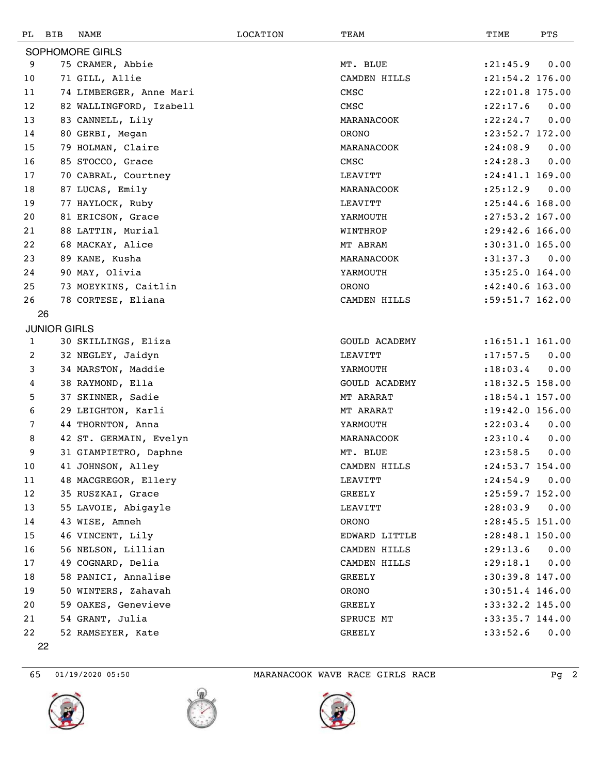| PL           | BIB                 | NAME                    | LOCATION | TEAM                 | TIME                | PTS  |
|--------------|---------------------|-------------------------|----------|----------------------|---------------------|------|
|              |                     | SOPHOMORE GIRLS         |          |                      |                     |      |
| 9            |                     | 75 CRAMER, Abbie        |          | MT. BLUE             | : 21: 45.9          | 0.00 |
| 10           |                     | 71 GILL, Allie          |          | CAMDEN HILLS         | :21:54.2 176.00     |      |
| 11           |                     | 74 LIMBERGER, Anne Mari |          | CMSC                 | :22:01.8 175.00     |      |
| 12           |                     | 82 WALLINGFORD, Izabell |          | CMSC                 | : 22: 17.6          | 0.00 |
| 13           |                     | 83 CANNELL, Lily        |          | MARANACOOK           | : 22: 24.7          | 0.00 |
| 14           |                     | 80 GERBI, Megan         |          | <b>ORONO</b>         | :23:52.7 172.00     |      |
| 15           |                     | 79 HOLMAN, Claire       |          | MARANACOOK           | : 24:08.9           | 0.00 |
| 16           |                     | 85 STOCCO, Grace        |          | CMSC                 | : 24:28.3           | 0.00 |
| 17           |                     | 70 CABRAL, Courtney     |          | LEAVITT              | :24:41.1 169.00     |      |
| 18           |                     | 87 LUCAS, Emily         |          | MARANACOOK           | : 25: 12.9          | 0.00 |
| 19           |                     | 77 HAYLOCK, Ruby        |          | LEAVITT              | $: 25: 44.6$ 168.00 |      |
| 20           |                     | 81 ERICSON, Grace       |          | YARMOUTH             | :27:53.2 167.00     |      |
| 21           |                     | 88 LATTIN, Murial       |          | WINTHROP             | :29:42.6 166.00     |      |
| 22           |                     | 68 MACKAY, Alice        |          | MT ABRAM             | :30:31.0 165.00     |      |
| 23           |                     | 89 KANE, Kusha          |          | MARANACOOK           | :31:37.3            | 0.00 |
| 24           |                     | 90 MAY, Olivia          |          | YARMOUTH             | :35:25.0 164.00     |      |
| 25           |                     | 73 MOEYKINS, Caitlin    |          | <b>ORONO</b>         | $:42:40.6$ 163.00   |      |
| 26           |                     | 78 CORTESE, Eliana      |          | CAMDEN HILLS         | $:59:51.7$ 162.00   |      |
|              | 26                  |                         |          |                      |                     |      |
|              | <b>JUNIOR GIRLS</b> |                         |          |                      |                     |      |
| $\mathbf{1}$ |                     | 30 SKILLINGS, Eliza     |          | GOULD ACADEMY        | $:16:51.1$ 161.00   |      |
| 2            |                     | 32 NEGLEY, Jaidyn       |          | LEAVITT              | : 17: 57.5          | 0.00 |
| 3            |                     | 34 MARSTON, Maddie      |          | YARMOUTH             | : 18:03.4           | 0.00 |
| 4            |                     | 38 RAYMOND, Ella        |          | <b>GOULD ACADEMY</b> | :18:32.5 158.00     |      |
| 5            |                     | 37 SKINNER, Sadie       |          | MT ARARAT            | $: 18:54.1$ 157.00  |      |
| 6            |                     | 29 LEIGHTON, Karli      |          | MT ARARAT            | : 19: 42.0 156.00   |      |
| 7            |                     | 44 THORNTON, Anna       |          | YARMOUTH             | : 22:03.4           | 0.00 |
| 8            |                     | 42 ST. GERMAIN, Evelyn  |          | MARANACOOK           | : 23: 10.4          | 0.00 |
| 9            |                     | 31 GIAMPIETRO, Daphne   |          | MT. BLUE             | : 23:58.5           | 0.00 |
| $10\,$       |                     | 41 JOHNSON, Alley       |          | CAMDEN HILLS         | :24:53.7 154.00     |      |
| 11           |                     | 48 MACGREGOR, Ellery    |          | LEAVITT              | : 24:54.9           | 0.00 |
| 12           |                     | 35 RUSZKAI, Grace       |          | GREELY               | :25:59.7 152.00     |      |
| 13           |                     | 55 LAVOIE, Abigayle     |          | LEAVITT              | : 28:03.9           | 0.00 |
| 14           |                     | 43 WISE, Amneh          |          | <b>ORONO</b>         | :28:45.5 151.00     |      |
| 15           |                     | 46 VINCENT, Lily        |          | EDWARD LITTLE        | :28:48.1 150.00     |      |
| 16           |                     | 56 NELSON, Lillian      |          | CAMDEN HILLS         | : 29: 13.6          | 0.00 |
| 17           |                     | 49 COGNARD, Delia       |          | CAMDEN HILLS         | : 29:18.1           | 0.00 |
| 18           |                     | 58 PANICI, Annalise     |          | <b>GREELY</b>        | :30:39.8 147.00     |      |
| 19           |                     | 50 WINTERS, Zahavah     |          | ORONO                | :30:51.4 146.00     |      |
| 20           |                     | 59 OAKES, Genevieve     |          | GREELY               | :33:32.2 145.00     |      |
| 21           |                     | 54 GRANT, Julia         |          | SPRUCE MT            | :33:35.7 144.00     |      |
| 22           |                     | 52 RAMSEYER, Kate       |          | GREELY               | :33:52.6            | 0.00 |
|              | 22                  |                         |          |                      |                     |      |







65 01/19/2020 05:50 MARANACOOK WAVE RACE GIRLS RACE Pg 2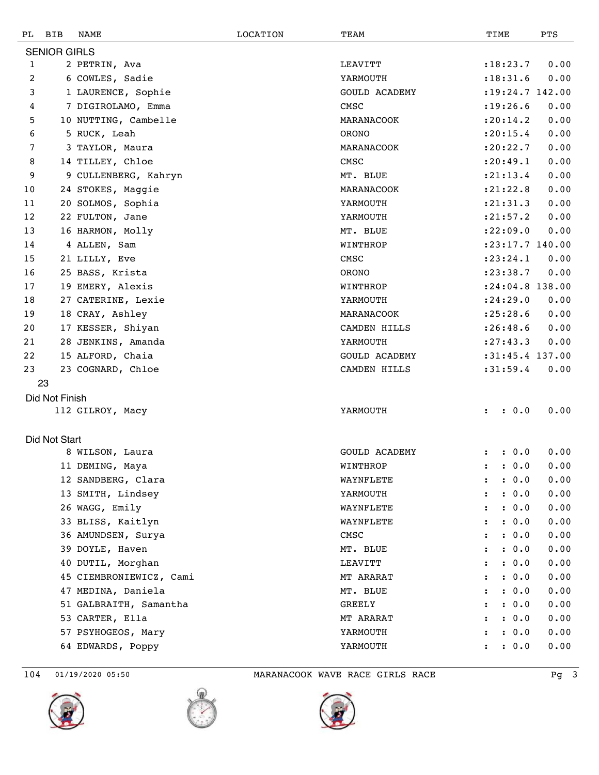| PL | BIB                 | NAME                    | LOCATION | TEAM                 | TIME                 |       | PTS                 |
|----|---------------------|-------------------------|----------|----------------------|----------------------|-------|---------------------|
|    | <b>SENIOR GIRLS</b> |                         |          |                      |                      |       |                     |
| 1  |                     | 2 PETRIN, Ava           |          | LEAVITT              | : 18: 23.7           |       | 0.00                |
| 2  |                     | 6 COWLES, Sadie         |          | YARMOUTH             | : 18: 31.6           |       | 0.00                |
| 3  |                     | 1 LAURENCE, Sophie      |          | <b>GOULD ACADEMY</b> |                      |       | $: 19: 24.7$ 142.00 |
| 4  |                     | 7 DIGIROLAMO, Emma      |          | CMSC                 | : 19: 26.6           |       | 0.00                |
| 5  |                     | 10 NUTTING, Cambelle    |          | MARANACOOK           | : 20:14.2            |       | 0.00                |
| 6  |                     | 5 RUCK, Leah            |          | ORONO                | : 20: 15.4           |       | 0.00                |
| 7  |                     | 3 TAYLOR, Maura         |          | MARANACOOK           | : 20: 22.7           |       | 0.00                |
| 8  |                     | 14 TILLEY, Chloe        |          | CMSC                 | : 20: 49.1           |       | 0.00                |
| 9  |                     | 9 CULLENBERG, Kahryn    |          | MT. BLUE             | : 21: 13.4           |       | 0.00                |
| 10 |                     | 24 STOKES, Maggie       |          | MARANACOOK           | : 21: 22.8           |       | 0.00                |
| 11 |                     | 20 SOLMOS, Sophia       |          | YARMOUTH             | : 21: 31.3           |       | 0.00                |
| 12 |                     | 22 FULTON, Jane         |          | YARMOUTH             | : 21: 57.2           |       | 0.00                |
| 13 |                     | 16 HARMON, Molly        |          | MT. BLUE             | : 22:09.0            |       | 0.00                |
| 14 |                     | 4 ALLEN, Sam            |          | WINTHROP             |                      |       | $: 23: 17.7$ 140.00 |
| 15 |                     | 21 LILLY, Eve           |          | CMSC                 | : 23: 24.1           |       | 0.00                |
| 16 |                     | 25 BASS, Krista         |          | ORONO                | : 23: 38.7           |       | 0.00                |
| 17 |                     | 19 EMERY, Alexis        |          | WINTHROP             |                      |       | :24:04.8 138.00     |
| 18 |                     | 27 CATERINE, Lexie      |          | YARMOUTH             | : 24:29.0            |       | 0.00                |
| 19 |                     | 18 CRAY, Ashley         |          | MARANACOOK           | : 25: 28.6           |       | 0.00                |
| 20 |                     | 17 KESSER, Shiyan       |          | CAMDEN HILLS         | : 26:48.6            |       | 0.00                |
| 21 |                     | 28 JENKINS, Amanda      |          | YARMOUTH             | : 27: 43.3           |       | 0.00                |
| 22 |                     | 15 ALFORD, Chaia        |          | <b>GOULD ACADEMY</b> |                      |       | :31:45.4 137.00     |
| 23 |                     | 23 COGNARD, Chloe       |          | CAMDEN HILLS         | :31:59.4             |       | 0.00                |
| 23 |                     |                         |          |                      |                      |       |                     |
|    | Did Not Finish      |                         |          |                      |                      |       |                     |
|    |                     | 112 GILROY, Macy        |          | YARMOUTH             | $\ddot{\phantom{a}}$ | : 0.0 | 0.00                |
|    |                     |                         |          |                      |                      |       |                     |
|    | Did Not Start       |                         |          |                      |                      |       |                     |
|    |                     | 8 WILSON, Laura         |          | <b>GOULD ACADEMY</b> |                      | : 0.0 | 0.00                |
|    |                     | 11 DEMING, Maya         |          | WINTHROP             |                      | : 0.0 | 0.00                |
|    |                     | 12 SANDBERG, Clara      |          | WAYNFLETE            |                      | : 0.0 | 0.00                |
|    |                     | 13 SMITH, Lindsey       |          | YARMOUTH             | $\ddot{\cdot}$       | : 0.0 | 0.00                |
|    |                     | 26 WAGG, Emily          |          | WAYNFLETE            | :                    | : 0.0 | 0.00                |
|    |                     | 33 BLISS, Kaitlyn       |          | WAYNFLETE            | ፡                    | : 0.0 | 0.00                |
|    |                     | 36 AMUNDSEN, Surya      |          | ${\tt CMSC}$         | $\ddot{\phantom{a}}$ | : 0.0 | 0.00                |
|    |                     | 39 DOYLE, Haven         |          | MT. BLUE             | $\ddot{\phantom{a}}$ | : 0.0 | 0.00                |
|    |                     | 40 DUTIL, Morghan       |          | LEAVITT              | $\ddot{\phantom{a}}$ | : 0.0 | 0.00                |
|    |                     | 45 CIEMBRONIEWICZ, Cami |          | MT ARARAT            |                      | : 0.0 | 0.00                |
|    |                     | 47 MEDINA, Daniela      |          | MT. BLUE             | $\ddot{\phantom{a}}$ | : 0.0 | 0.00                |
|    |                     | 51 GALBRAITH, Samantha  |          | GREELY               |                      | : 0.0 | 0.00                |
|    |                     | 53 CARTER, Ella         |          | MT ARARAT            | $\ddot{\phantom{a}}$ | : 0.0 | 0.00                |
|    |                     | 57 PSYHOGEOS, Mary      |          | YARMOUTH             |                      | : 0.0 | 0.00                |
|    |                     | 64 EDWARDS, Poppy       |          | YARMOUTH             | $\ddot{\cdot}$       | : 0.0 | 0.00                |
|    |                     |                         |          |                      |                      |       |                     |





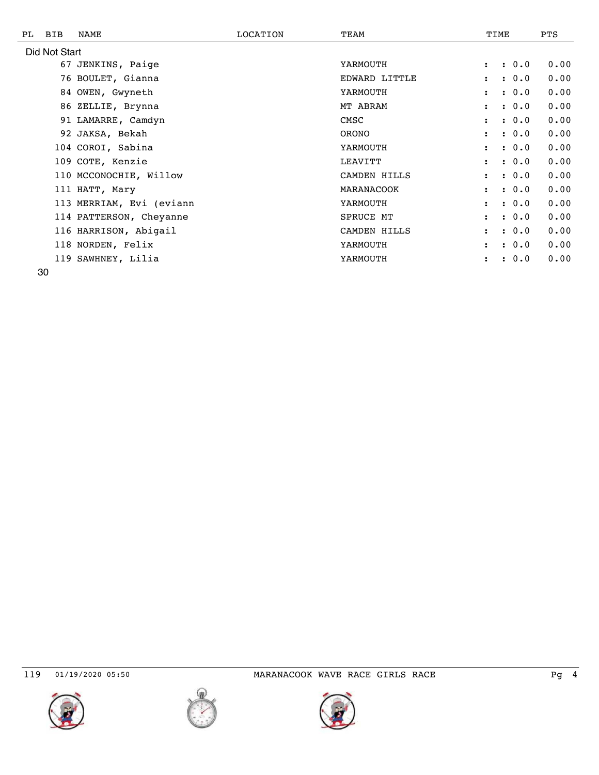| PL | BIB           | NAME                     | LOCATION | TEAM          |                      | TIME |       | <b>PTS</b> |
|----|---------------|--------------------------|----------|---------------|----------------------|------|-------|------------|
|    | Did Not Start |                          |          |               |                      |      |       |            |
|    |               | 67 JENKINS, Paige        |          | YARMOUTH      | $\ddot{\phantom{a}}$ |      | : 0.0 | 0.00       |
|    |               | 76 BOULET, Gianna        |          | EDWARD LITTLE | $\ddot{\phantom{a}}$ |      | : 0.0 | 0.00       |
|    |               | 84 OWEN, Gwyneth         |          | YARMOUTH      | $\ddot{\phantom{a}}$ |      | : 0.0 | 0.00       |
|    |               | 86 ZELLIE, Brynna        |          | MT ABRAM      | $\mathbf{r}$         |      | : 0.0 | 0.00       |
|    |               | 91 LAMARRE, Camdyn       |          | CMSC          | $\mathbf{r}$         |      | : 0.0 | 0.00       |
|    |               | 92 JAKSA, Bekah          |          | ORONO         | $\ddot{\phantom{a}}$ |      | : 0.0 | 0.00       |
|    |               | 104 COROI, Sabina        |          | YARMOUTH      | $\ddot{\phantom{a}}$ |      | : 0.0 | 0.00       |
|    |               | 109 COTE, Kenzie         |          | LEAVITT       | $\mathbf{r}$         |      | : 0.0 | 0.00       |
|    |               | 110 MCCONOCHIE, Willow   |          | CAMDEN HILLS  | $\mathbf{r}$         |      | : 0.0 | 0.00       |
|    |               | 111 HATT, Mary           |          | MARANACOOK    | $\ddot{\phantom{a}}$ |      | : 0.0 | 0.00       |
|    |               | 113 MERRIAM, Evi (eviann |          | YARMOUTH      | $\ddot{\cdot}$       |      | : 0.0 | 0.00       |
|    |               | 114 PATTERSON, Cheyanne  |          | SPRUCE MT     | $\mathbf{r}$         |      | : 0.0 | 0.00       |
|    |               | 116 HARRISON, Abigail    |          | CAMDEN HILLS  | $\mathbf{r}$         |      | : 0.0 | 0.00       |
|    |               | 118 NORDEN, Felix        |          | YARMOUTH      |                      |      | : 0.0 | 0.00       |
|    |               | 119 SAWHNEY, Lilia       |          | YARMOUTH      |                      |      | : 0.0 | 0.00       |
|    |               |                          |          |               |                      |      |       |            |





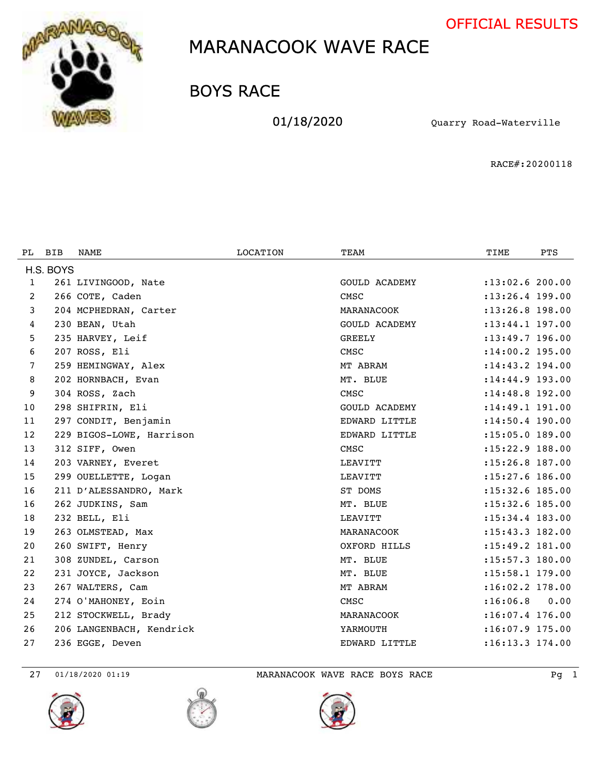



BOYS RACE

01/18/2020 Quarry Road-Waterville

RACE#:20200118

| PL. | <b>BIB</b> | NAME                     | <b>LOCATION</b> | TEAM                 | TIME                | <b>PTS</b> |
|-----|------------|--------------------------|-----------------|----------------------|---------------------|------------|
|     | H.S. BOYS  |                          |                 |                      |                     |            |
| 1   |            | 261 LIVINGOOD, Nate      |                 | <b>GOULD ACADEMY</b> | $: 13:02.6$ 200.00  |            |
| 2   |            | 266 COTE, Caden          |                 | CMSC                 | $: 13: 26.4$ 199.00 |            |
| 3   |            | 204 MCPHEDRAN, Carter    |                 | MARANACOOK           | $: 13: 26.8$ 198.00 |            |
| 4   |            | 230 BEAN, Utah           |                 | <b>GOULD ACADEMY</b> | $: 13: 44.1$ 197.00 |            |
| 5   |            | 235 HARVEY, Leif         |                 | <b>GREELY</b>        | $: 13: 49.7$ 196.00 |            |
| 6   |            | 207 ROSS, Eli            |                 | CMSC                 | :14:00.2 195.00     |            |
| 7   |            | 259 HEMINGWAY, Alex      |                 | MT ABRAM             | $: 14: 43.2$ 194.00 |            |
| 8   |            | 202 HORNBACH, Evan       |                 | MT. BLUE             | $: 14:44.9$ 193.00  |            |
| 9   |            | 304 ROSS, Zach           |                 | CMSC                 | $: 14:48.8$ 192.00  |            |
| 10  |            | 298 SHIFRIN, Eli         |                 | <b>GOULD ACADEMY</b> | : 14: 49.1 191.00   |            |
| 11  |            | 297 CONDIT, Benjamin     |                 | EDWARD LITTLE        | $: 14:50.4$ 190.00  |            |
| 12  |            | 229 BIGOS-LOWE, Harrison |                 | EDWARD LITTLE        | $: 15:05.0$ 189.00  |            |
| 13  |            | 312 SIFF, Owen           |                 | CMSC                 | $: 15: 22.9$ 188.00 |            |
| 14  |            | 203 VARNEY, Everet       |                 | LEAVITT              | $: 15: 26.8$ 187.00 |            |
| 15  |            | 299 OUELLETTE, Logan     |                 | LEAVITT              | :15:27.6 186.00     |            |
| 16  |            | 211 D'ALESSANDRO, Mark   |                 | ST DOMS              | :15:32.6 185.00     |            |
| 16  |            | 262 JUDKINS, Sam         |                 | MT. BLUE             | $: 15: 32.6$ 185.00 |            |
| 18  |            | 232 BELL, Eli            |                 | LEAVITT              | : 15:34.4 183.00    |            |
| 19  |            | 263 OLMSTEAD, Max        |                 | MARANACOOK           | : 15: 43.3 182.00   |            |
| 20  |            | 260 SWIFT, Henry         |                 | OXFORD HILLS         | $: 15: 49.2$ 181.00 |            |
| 21  |            | 308 ZUNDEL, Carson       |                 | MT. BLUE             | :15:57.3 180.00     |            |
| 22  |            | 231 JOYCE, Jackson       |                 | MT. BLUE             | :15:58.1 179.00     |            |
| 23  |            | 267 WALTERS, Cam         |                 | MT ABRAM             | $: 16:02.2$ 178.00  |            |
| 24  |            | 274 O'MAHONEY, Eoin      |                 | CMSC                 | : 16:06.8           | 0.00       |
| 25  |            | 212 STOCKWELL, Brady     |                 | MARANACOOK           | $: 16:07.4$ 176.00  |            |
| 26  |            | 206 LANGENBACH, Kendrick |                 | YARMOUTH             | $:16:07.9$ 175.00   |            |
| 27  |            | 236 EGGE, Deven          |                 | EDWARD LITTLE        | :16:13.3 174.00     |            |

27 01/18/2020 01:19 MARANACOOK WAVE RACE BOYS RACE PG 1



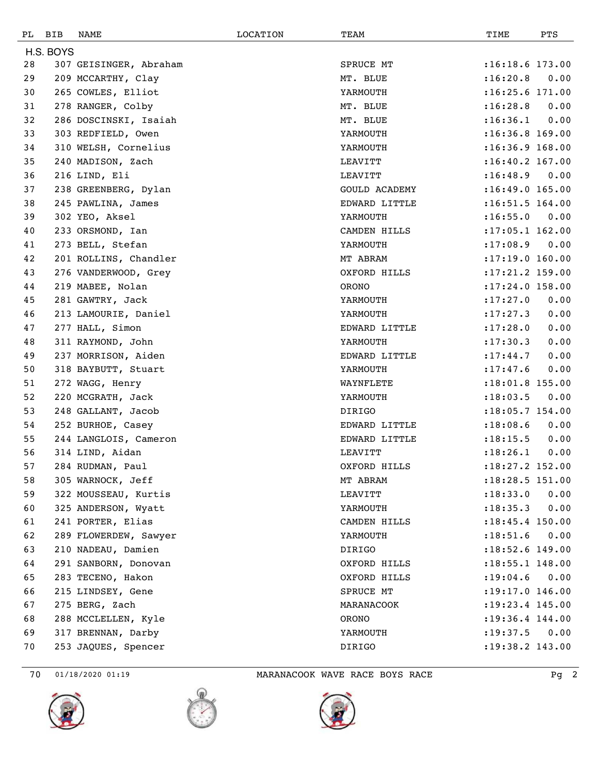| РL | <b>BIB</b> | NAME                   | LOCATION | TEAM          | TIME                | PTS  |
|----|------------|------------------------|----------|---------------|---------------------|------|
|    | H.S. BOYS  |                        |          |               |                     |      |
| 28 |            | 307 GEISINGER, Abraham |          | SPRUCE MT     | $:16:18.6$ 173.00   |      |
| 29 |            | 209 MCCARTHY, Clay     |          | MT. BLUE      | :16:20.8            | 0.00 |
| 30 |            | 265 COWLES, Elliot     |          | YARMOUTH      | $:16:25.6$ 171.00   |      |
| 31 |            | 278 RANGER, Colby      |          | MT. BLUE      | : 16:28.8           | 0.00 |
| 32 |            | 286 DOSCINSKI, Isaiah  |          | MT. BLUE      | : 16:36.1           | 0.00 |
| 33 |            | 303 REDFIELD, Owen     |          | YARMOUTH      | $:16:36.8$ 169.00   |      |
| 34 |            | 310 WELSH, Cornelius   |          | YARMOUTH      | $: 16:36.9$ 168.00  |      |
| 35 |            | 240 MADISON, Zach      |          | LEAVITT       | $:16:40.2$ 167.00   |      |
| 36 |            | 216 LIND, Eli          |          | LEAVITT       | : 16:48.9           | 0.00 |
| 37 |            | 238 GREENBERG, Dylan   |          | GOULD ACADEMY | $:16:49.0$ 165.00   |      |
| 38 |            | 245 PAWLINA, James     |          | EDWARD LITTLE | $:16:51.5$ 164.00   |      |
| 39 |            | 302 YEO, Aksel         |          | YARMOUTH      | :16:55.0            | 0.00 |
| 40 |            | 233 ORSMOND, Ian       |          | CAMDEN HILLS  | $: 17:05.1$ 162.00  |      |
| 41 |            | 273 BELL, Stefan       |          | YARMOUTH      | : 17:08.9           | 0.00 |
| 42 |            | 201 ROLLINS, Chandler  |          | MT ABRAM      | : 17:19.0 160.00    |      |
| 43 |            | 276 VANDERWOOD, Grey   |          | OXFORD HILLS  | $: 17: 21.2$ 159.00 |      |
| 44 |            | 219 MABEE, Nolan       |          | <b>ORONO</b>  | $: 17:24.0$ 158.00  |      |
| 45 |            | 281 GAWTRY, Jack       |          | YARMOUTH      | : 17: 27.0          | 0.00 |
| 46 |            | 213 LAMOURIE, Daniel   |          | YARMOUTH      | : 17: 27.3          | 0.00 |
| 47 |            | 277 HALL, Simon        |          | EDWARD LITTLE | : 17: 28.0          | 0.00 |
| 48 |            | 311 RAYMOND, John      |          | YARMOUTH      | : 17: 30.3          | 0.00 |
| 49 |            | 237 MORRISON, Aiden    |          | EDWARD LITTLE | : 17: 44.7          | 0.00 |
| 50 |            | 318 BAYBUTT, Stuart    |          | YARMOUTH      | : 17: 47.6          | 0.00 |
| 51 |            | 272 WAGG, Henry        |          | WAYNFLETE     | $: 18:01.8$ 155.00  |      |
| 52 |            | 220 MCGRATH, Jack      |          | YARMOUTH      | : 18:03.5           | 0.00 |
| 53 |            | 248 GALLANT, Jacob     |          | DIRIGO        | $: 18:05.7$ 154.00  |      |
| 54 |            | 252 BURHOE, Casey      |          | EDWARD LITTLE | : 18:08.6           | 0.00 |
| 55 |            | 244 LANGLOIS, Cameron  |          | EDWARD LITTLE | : 18: 15.5          | 0.00 |
| 56 |            | 314 LIND, Aidan        |          | LEAVITT       | : 18: 26.1          | 0.00 |
| 57 |            | 284 RUDMAN, Paul       |          | OXFORD HILLS  | :18:27.2 152.00     |      |
| 58 |            | 305 WARNOCK, Jeff      |          | MT ABRAM      | :18:28.5 151.00     |      |
| 59 |            | 322 MOUSSEAU, Kurtis   |          | LEAVITT       | : 18: 33.0          | 0.00 |
| 60 |            | 325 ANDERSON, Wyatt    |          | YARMOUTH      | : 18: 35.3          | 0.00 |
| 61 |            | 241 PORTER, Elias      |          | CAMDEN HILLS  | $: 18: 45.4$ 150.00 |      |
| 62 |            | 289 FLOWERDEW, Sawyer  |          | YARMOUTH      | : 18: 51.6          | 0.00 |
| 63 |            | 210 NADEAU, Damien     |          | DIRIGO        | $: 18:52.6$ 149.00  |      |
| 64 |            | 291 SANBORN, Donovan   |          | OXFORD HILLS  | $: 18: 55.1$ 148.00 |      |
| 65 |            | 283 TECENO, Hakon      |          | OXFORD HILLS  | : 19:04.6           | 0.00 |
| 66 |            | 215 LINDSEY, Gene      |          | SPRUCE MT     | $: 19: 17.0$ 146.00 |      |
| 67 |            | 275 BERG, Zach         |          | MARANACOOK    | $: 19: 23.4$ 145.00 |      |
| 68 |            | 288 MCCLELLEN, Kyle    |          | ORONO         | $: 19: 36.4$ 144.00 |      |
| 69 |            | 317 BRENNAN, Darby     |          | YARMOUTH      | : 19: 37.5          | 0.00 |
| 70 |            | 253 JAQUES, Spencer    |          | DIRIGO        | :19:38.2 143.00     |      |

70 01/18/2020 01:19 MARANACOOK WAVE RACE BOYS RACE Pg 2





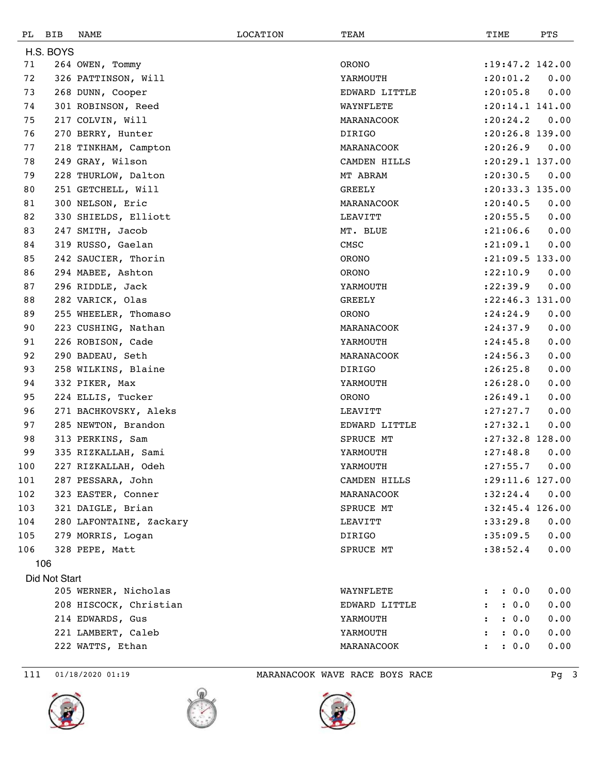| PL  | BIB           | NAME                    | LOCATION | TEAM          | TIME                          | PTS  |
|-----|---------------|-------------------------|----------|---------------|-------------------------------|------|
|     | H.S. BOYS     |                         |          |               |                               |      |
| 71  |               | 264 OWEN, Tommy         |          | ORONO         | $: 19: 47.2$ 142.00           |      |
| 72  |               | 326 PATTINSON, Will     |          | YARMOUTH      | : 20: 01.2                    | 0.00 |
| 73  |               | 268 DUNN, Cooper        |          | EDWARD LITTLE | : 20:05.8                     | 0.00 |
| 74  |               | 301 ROBINSON, Reed      |          | WAYNFLETE     | $: 20:14.1$ 141.00            |      |
| 75  |               | 217 COLVIN, Will        |          | MARANACOOK    | : 20: 24.2                    | 0.00 |
| 76  |               | 270 BERRY, Hunter       |          | DIRIGO        | :20:26.8 139.00               |      |
| 77  |               | 218 TINKHAM, Campton    |          | MARANACOOK    | : 20:26.9                     | 0.00 |
| 78  |               | 249 GRAY, Wilson        |          | CAMDEN HILLS  | $: 20: 29.1$ 137.00           |      |
| 79  |               | 228 THURLOW, Dalton     |          | MT ABRAM      | : 20: 30.5                    | 0.00 |
| 80  |               | 251 GETCHELL, Will      |          | <b>GREELY</b> | :20:33.3 135.00               |      |
| 81  |               | 300 NELSON, Eric        |          | MARANACOOK    | : 20: 40.5                    | 0.00 |
| 82  |               | 330 SHIELDS, Elliott    |          | LEAVITT       | : 20: 55.5                    | 0.00 |
| 83  |               | 247 SMITH, Jacob        |          | MT. BLUE      | : 21:06.6                     | 0.00 |
| 84  |               | 319 RUSSO, Gaelan       |          | CMSC          | : 21:09.1                     | 0.00 |
| 85  |               | 242 SAUCIER, Thorin     |          | <b>ORONO</b>  | $: 21:09.5$ 133.00            |      |
| 86  |               | 294 MABEE, Ashton       |          | <b>ORONO</b>  | : 22: 10.9                    | 0.00 |
| 87  |               | 296 RIDDLE, Jack        |          | YARMOUTH      | : 22: 39.9                    | 0.00 |
| 88  |               | 282 VARICK, Olas        |          | <b>GREELY</b> | :22:46.3 131.00               |      |
| 89  |               | 255 WHEELER, Thomaso    |          | <b>ORONO</b>  | : 24:24.9                     | 0.00 |
| 90  |               | 223 CUSHING, Nathan     |          | MARANACOOK    | : 24:37.9                     | 0.00 |
| 91  |               | 226 ROBISON, Cade       |          | YARMOUTH      | : 24: 45.8                    | 0.00 |
| 92  |               | 290 BADEAU, Seth        |          | MARANACOOK    | : 24:56.3                     | 0.00 |
| 93  |               | 258 WILKINS, Blaine     |          | DIRIGO        | : 26:25.8                     | 0.00 |
| 94  |               | 332 PIKER, Max          |          | YARMOUTH      | : 26:28.0                     | 0.00 |
| 95  |               | 224 ELLIS, Tucker       |          | <b>ORONO</b>  | : 26: 49.1                    | 0.00 |
| 96  |               | 271 BACHKOVSKY, Aleks   |          | LEAVITT       | : 27: 27.7                    | 0.00 |
| 97  |               | 285 NEWTON, Brandon     |          | EDWARD LITTLE | : 27: 32.1                    | 0.00 |
| 98  |               | 313 PERKINS, Sam        |          | SPRUCE MT     | :27:32.8 128.00               |      |
| 99  |               | 335 RIZKALLAH, Sami     |          | YARMOUTH      | : 27:48.8                     | 0.00 |
| 100 |               | 227 RIZKALLAH, Odeh     |          | YARMOUTH      | : 27: 55.7                    | 0.00 |
| 101 |               | 287 PESSARA, John       |          | CAMDEN HILLS  | : 29: 11.6 127.00             |      |
| 102 |               | 323 EASTER, Conner      |          | MARANACOOK    | :32:24.4                      | 0.00 |
| 103 |               | 321 DAIGLE, Brian       |          | SPRUCE MT     | $:32:45.4$ 126.00             |      |
| 104 |               | 280 LAFONTAINE, Zackary |          | LEAVITT       | : 33: 29.8                    | 0.00 |
| 105 |               | 279 MORRIS, Logan       |          | DIRIGO        | : 35:09.5                     | 0.00 |
| 106 |               | 328 PEPE, Matt          |          | SPRUCE MT     | :38:52.4                      | 0.00 |
|     | 106           |                         |          |               |                               |      |
|     | Did Not Start |                         |          |               |                               |      |
|     |               | 205 WERNER, Nicholas    |          | WAYNFLETE     | : 0.0<br>$\ddot{\phantom{a}}$ | 0.00 |
|     |               | 208 HISCOCK, Christian  |          | EDWARD LITTLE | : 0.0<br>$\mathbf{L}$         | 0.00 |
|     |               | 214 EDWARDS, Gus        |          | YARMOUTH      | : 0.0                         | 0.00 |
|     |               | 221 LAMBERT, Caleb      |          | YARMOUTH      | : 0.0                         | 0.00 |
|     |               | 222 WATTS, Ethan        |          | MARANACOOK    | : 0.0<br>$\mathbf{z}$         | 0.00 |

111 01/18/2020 01:19 MARANACOOK WAVE RACE BOYS RACE Pg 3





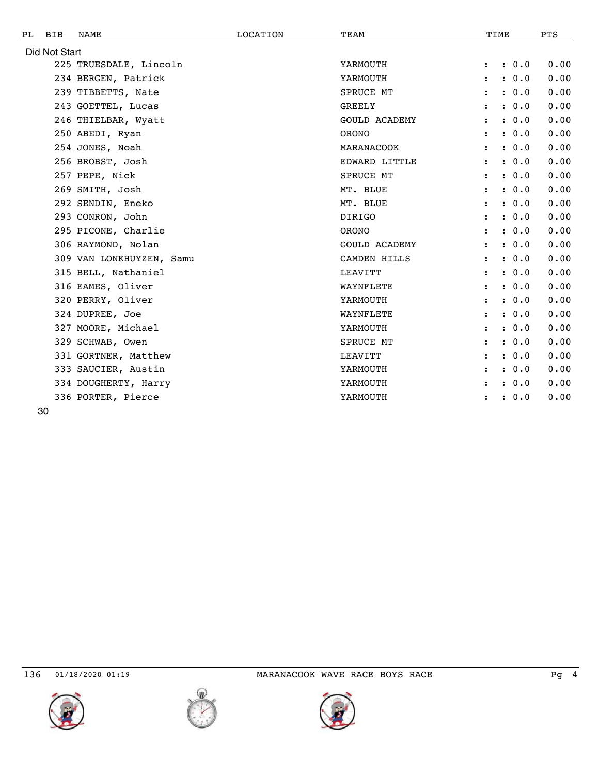| РL | <b>BIB</b>    | NAME                     | LOCATION | TEAM                 |                      | TIME |       | <b>PTS</b> |
|----|---------------|--------------------------|----------|----------------------|----------------------|------|-------|------------|
|    | Did Not Start |                          |          |                      |                      |      |       |            |
|    |               | 225 TRUESDALE, Lincoln   |          | YARMOUTH             | $\ddot{\phantom{a}}$ |      | : 0.0 | 0.00       |
|    |               | 234 BERGEN, Patrick      |          | YARMOUTH             |                      |      | : 0.0 | 0.00       |
|    |               | 239 TIBBETTS, Nate       |          | <b>SPRUCE MT</b>     | $\ddot{\phantom{a}}$ |      | : 0.0 | 0.00       |
|    |               | 243 GOETTEL, Lucas       |          | <b>GREELY</b>        | $\ddot{\phantom{a}}$ |      | : 0.0 | 0.00       |
|    |               | 246 THIELBAR, Wyatt      |          | <b>GOULD ACADEMY</b> | $\ddot{\phantom{a}}$ |      | : 0.0 | 0.00       |
|    |               | 250 ABEDI, Ryan          |          | ORONO                | $\ddot{\cdot}$       |      | : 0.0 | 0.00       |
|    |               | 254 JONES, Noah          |          | MARANACOOK           | $\ddot{\phantom{a}}$ |      | : 0.0 | 0.00       |
|    |               | 256 BROBST, Josh         |          | EDWARD LITTLE        | $\ddot{\phantom{a}}$ |      | : 0.0 | 0.00       |
|    |               | 257 PEPE, Nick           |          | SPRUCE MT            | $\ddot{\cdot}$       |      | : 0.0 | 0.00       |
|    |               | 269 SMITH, Josh          |          | MT. BLUE             | $\ddot{\phantom{a}}$ |      | : 0.0 | 0.00       |
|    |               | 292 SENDIN, Eneko        |          | MT. BLUE             | $\ddot{\phantom{a}}$ |      | : 0.0 | 0.00       |
|    |               | 293 CONRON, John         |          | <b>DIRIGO</b>        |                      |      | : 0.0 | 0.00       |
|    |               | 295 PICONE, Charlie      |          | ORONO                | $\ddot{\cdot}$       |      | : 0.0 | 0.00       |
|    |               | 306 RAYMOND, Nolan       |          | <b>GOULD ACADEMY</b> | $\ddot{\cdot}$       |      | : 0.0 | 0.00       |
|    |               | 309 VAN LONKHUYZEN, Samu |          | CAMDEN HILLS         |                      |      | : 0.0 | 0.00       |
|    |               | 315 BELL, Nathaniel      |          | LEAVITT              | $\ddot{\phantom{a}}$ |      | : 0.0 | 0.00       |
|    |               | 316 EAMES, Oliver        |          | WAYNFLETE            | $\ddot{\phantom{a}}$ |      | : 0.0 | 0.00       |
|    |               | 320 PERRY, Oliver        |          | YARMOUTH             | :                    |      | : 0.0 | 0.00       |
|    |               | 324 DUPREE, Joe          |          | WAYNFLETE            | $\ddot{\phantom{a}}$ |      | : 0.0 | 0.00       |
|    |               | 327 MOORE, Michael       |          | YARMOUTH             | $\ddot{\phantom{a}}$ |      | : 0.0 | 0.00       |
|    |               | 329 SCHWAB, Owen         |          | <b>SPRUCE MT</b>     |                      |      | : 0.0 | 0.00       |
|    |               | 331 GORTNER, Matthew     |          | LEAVITT              | $\ddot{\cdot}$       |      | : 0.0 | 0.00       |
|    |               | 333 SAUCIER, Austin      |          | YARMOUTH             | $\ddot{\phantom{a}}$ |      | : 0.0 | 0.00       |
|    |               | 334 DOUGHERTY, Harry     |          | YARMOUTH             |                      |      | : 0.0 | 0.00       |
|    |               | 336 PORTER, Pierce       |          | YARMOUTH             |                      |      | 0.0   | 0.00       |
|    | ∩ר            |                          |          |                      |                      |      |       |            |







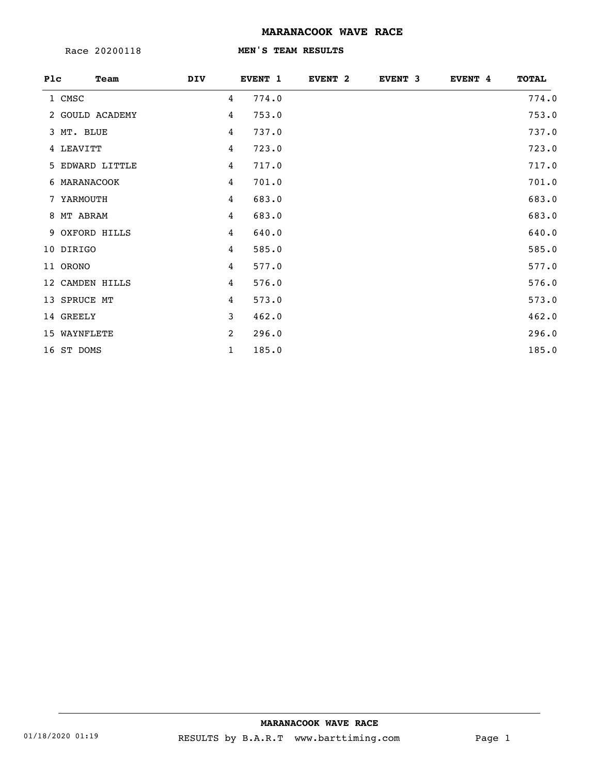Race 20200118

#### **MEN'S TEAM RESULTS**

| Plc | Team            | DIV            | EVENT 1 | EVENT <sub>2</sub> | EVENT <sub>3</sub> | EVENT 4 | <b>TOTAL</b> |
|-----|-----------------|----------------|---------|--------------------|--------------------|---------|--------------|
|     | 1 CMSC          | 4              | 774.0   |                    |                    |         | 774.0        |
|     | 2 GOULD ACADEMY | 4              | 753.0   |                    |                    |         | 753.0        |
|     | 3 MT. BLUE      | 4              | 737.0   |                    |                    |         | 737.0        |
|     | 4 LEAVITT       | 4              | 723.0   |                    |                    |         | 723.0        |
|     | 5 EDWARD LITTLE | 4              | 717.0   |                    |                    |         | 717.0        |
|     | 6 MARANACOOK    | 4              | 701.0   |                    |                    |         | 701.0        |
|     | 7 YARMOUTH      | 4              | 683.0   |                    |                    |         | 683.0        |
|     | 8 MT ABRAM      | 4              | 683.0   |                    |                    |         | 683.0        |
|     | 9 OXFORD HILLS  | 4              | 640.0   |                    |                    |         | 640.0        |
|     | 10 DIRIGO       | 4              | 585.0   |                    |                    |         | 585.0        |
|     | 11 ORONO        | 4              | 577.0   |                    |                    |         | 577.0        |
|     | 12 CAMDEN HILLS | $\overline{4}$ | 576.0   |                    |                    |         | 576.0        |
|     | 13 SPRUCE MT    | 4              | 573.0   |                    |                    |         | 573.0        |
|     | 14 GREELY       | 3              | 462.0   |                    |                    |         | 462.0        |
|     | 15 WAYNFLETE    | 2              | 296.0   |                    |                    |         | 296.0        |
|     | 16 ST DOMS      | $\mathbf{1}$   | 185.0   |                    |                    |         | 185.0        |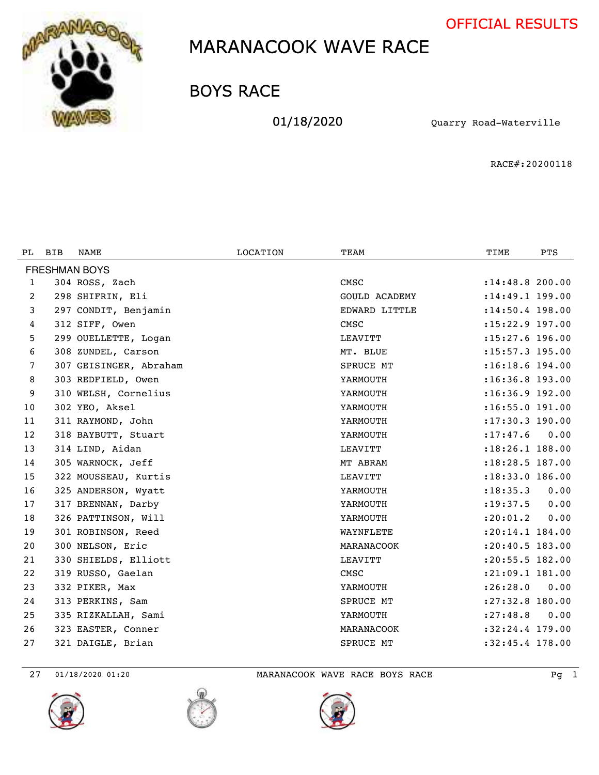



BOYS RACE

01/18/2020 Quarry Road-Waterville

RACE#:20200118

| PL.                  | <b>BIB</b> | NAME                   | LOCATION | TEAM                 | TIME                | <b>PTS</b> |  |  |  |
|----------------------|------------|------------------------|----------|----------------------|---------------------|------------|--|--|--|
| <b>FRESHMAN BOYS</b> |            |                        |          |                      |                     |            |  |  |  |
| 1                    |            | 304 ROSS, Zach         |          | CMSC                 | : 14:48.8 200.00    |            |  |  |  |
| $\overline{2}$       |            | 298 SHIFRIN, Eli       |          | <b>GOULD ACADEMY</b> | $: 14: 49.1$ 199.00 |            |  |  |  |
| 3                    |            | 297 CONDIT, Benjamin   |          | EDWARD LITTLE        | $: 14:50.4$ 198.00  |            |  |  |  |
| 4                    |            | 312 SIFF, Owen         |          | CMSC                 | $: 15: 22.9$ 197.00 |            |  |  |  |
| 5                    |            | 299 OUELLETTE, Logan   |          | LEAVITT              | :15:27.6 196.00     |            |  |  |  |
| 6                    |            | 308 ZUNDEL, Carson     |          | MT. BLUE             | $: 15: 57.3$ 195.00 |            |  |  |  |
| 7                    |            | 307 GEISINGER, Abraham |          | <b>SPRUCE MT</b>     | $: 16:18.6$ 194.00  |            |  |  |  |
| 8                    |            | 303 REDFIELD, Owen     |          | YARMOUTH             | $: 16:36.8$ 193.00  |            |  |  |  |
| 9                    |            | 310 WELSH, Cornelius   |          | YARMOUTH             | $: 16:36.9$ 192.00  |            |  |  |  |
| 10                   |            | 302 YEO, Aksel         |          | YARMOUTH             | $:16:55.0$ 191.00   |            |  |  |  |
| 11                   |            | 311 RAYMOND, John      |          | YARMOUTH             | $: 17:30.3$ 190.00  |            |  |  |  |
| 12                   |            | 318 BAYBUTT, Stuart    |          | YARMOUTH             | : 17: 47.6          | 0.00       |  |  |  |
| 13                   |            | 314 LIND, Aidan        |          | LEAVITT              | :18:26.1 188.00     |            |  |  |  |
| 14                   |            | 305 WARNOCK, Jeff      |          | MT ABRAM             | :18:28.5 187.00     |            |  |  |  |
| 15                   |            | 322 MOUSSEAU, Kurtis   |          | LEAVITT              | : 18: 33.0 186.00   |            |  |  |  |
| 16                   |            | 325 ANDERSON, Wyatt    |          | YARMOUTH             | : 18: 35.3          | 0.00       |  |  |  |
| 17                   |            | 317 BRENNAN, Darby     |          | YARMOUTH             | : 19: 37.5          | 0.00       |  |  |  |
| 18                   |            | 326 PATTINSON, Will    |          | YARMOUTH             | : 20: 01.2          | 0.00       |  |  |  |
| 19                   |            | 301 ROBINSON, Reed     |          | WAYNFLETE            | $: 20:14.1$ 184.00  |            |  |  |  |
| 20                   |            | 300 NELSON, Eric       |          | MARANACOOK           | :20:40.5 183.00     |            |  |  |  |
| 21                   |            | 330 SHIELDS, Elliott   |          | LEAVITT              | : 20: 55.5 182.00   |            |  |  |  |
| 22                   |            | 319 RUSSO, Gaelan      |          | CMSC                 | $: 21:09.1$ 181.00  |            |  |  |  |
| 23                   |            | 332 PIKER, Max         |          | YARMOUTH             | : 26:28.0           | 0.00       |  |  |  |
| 24                   |            | 313 PERKINS, Sam       |          | <b>SPRUCE MT</b>     | $: 27:32.8$ 180.00  |            |  |  |  |
| 25                   |            | 335 RIZKALLAH, Sami    |          | YARMOUTH             | : 27: 48.8          | 0.00       |  |  |  |
| 26                   |            | 323 EASTER, Conner     |          | MARANACOOK           | $:32:24.4$ 179.00   |            |  |  |  |
| 27                   |            | 321 DAIGLE, Brian      |          | SPRUCE MT            | $:32:45.4$ 178.00   |            |  |  |  |

01/18/2020 01:20 MARANACOOK WAVE RACE BOYS RACE Pg 1





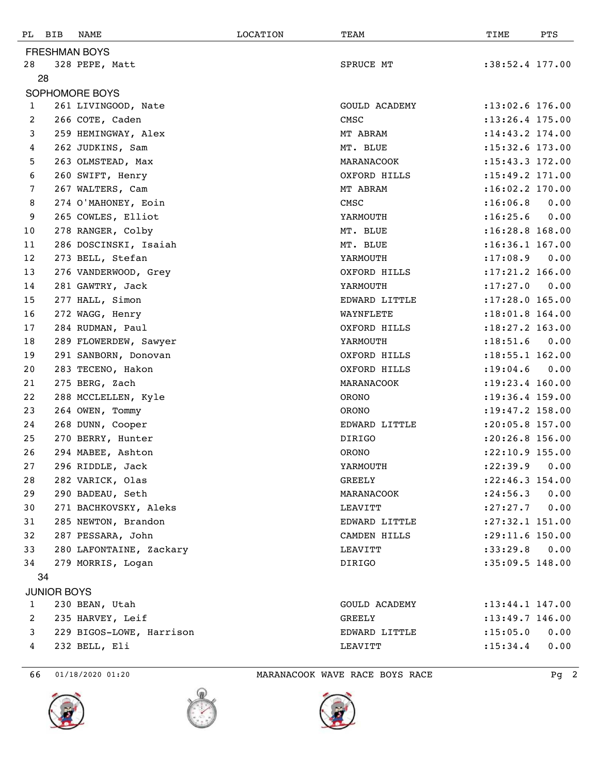| PL                   | BIB                | NAME                     | LOCATION | TEAM          | TIME                | PTS  |  |  |
|----------------------|--------------------|--------------------------|----------|---------------|---------------------|------|--|--|
| <b>FRESHMAN BOYS</b> |                    |                          |          |               |                     |      |  |  |
| 28                   |                    | 328 PEPE, Matt           |          | SPRUCE MT     | $:38:52.4$ 177.00   |      |  |  |
|                      | 28                 |                          |          |               |                     |      |  |  |
| SOPHOMORE BOYS       |                    |                          |          |               |                     |      |  |  |
| $\mathbf{1}$         |                    | 261 LIVINGOOD, Nate      |          | GOULD ACADEMY | $: 13:02.6$ 176.00  |      |  |  |
| 2                    |                    | 266 COTE, Caden          |          | CMSC          | $: 13: 26.4$ 175.00 |      |  |  |
| 3                    |                    | 259 HEMINGWAY, Alex      |          | MT ABRAM      | : 14: 43.2 174.00   |      |  |  |
| 4                    |                    | 262 JUDKINS, Sam         |          | MT. BLUE      | :15:32.6 173.00     |      |  |  |
| 5                    |                    | 263 OLMSTEAD, Max        |          | MARANACOOK    | : 15: 43.3 172.00   |      |  |  |
| 6                    |                    | 260 SWIFT, Henry         |          | OXFORD HILLS  | $: 15: 49.2$ 171.00 |      |  |  |
| 7                    |                    | 267 WALTERS, Cam         |          | MT ABRAM      | $: 16:02.2$ 170.00  |      |  |  |
| 8                    |                    | 274 O'MAHONEY, Eoin      |          | CMSC          | :16:06.8            | 0.00 |  |  |
| 9                    |                    | 265 COWLES, Elliot       |          | YARMOUTH      | : 16: 25.6          | 0.00 |  |  |
| 10                   |                    | 278 RANGER, Colby        |          | MT. BLUE      | $:16:28.8$ 168.00   |      |  |  |
| 11                   |                    | 286 DOSCINSKI, Isaiah    |          | MT. BLUE      | $: 16:36.1$ 167.00  |      |  |  |
| 12                   |                    | 273 BELL, Stefan         |          | YARMOUTH      | : 17:08.9           | 0.00 |  |  |
| 13                   |                    | 276 VANDERWOOD, Grey     |          | OXFORD HILLS  | $: 17:21.2$ 166.00  |      |  |  |
| 14                   |                    | 281 GAWTRY, Jack         |          | YARMOUTH      | : 17: 27.0          | 0.00 |  |  |
| 15                   |                    | 277 HALL, Simon          |          | EDWARD LITTLE | $: 17:28.0$ 165.00  |      |  |  |
| 16                   |                    | 272 WAGG, Henry          |          | WAYNFLETE     | :18:01.8 164.00     |      |  |  |
| 17                   |                    | 284 RUDMAN, Paul         |          | OXFORD HILLS  | $: 18: 27.2$ 163.00 |      |  |  |
| 18                   |                    | 289 FLOWERDEW, Sawyer    |          | YARMOUTH      | : 18: 51.6          | 0.00 |  |  |
| 19                   |                    | 291 SANBORN, Donovan     |          | OXFORD HILLS  | :18:55.1 162.00     |      |  |  |
| 20                   |                    | 283 TECENO, Hakon        |          | OXFORD HILLS  | : 19:04.6           | 0.00 |  |  |
| 21                   |                    | 275 BERG, Zach           |          | MARANACOOK    | : 19: 23.4 160.00   |      |  |  |
| 22                   |                    | 288 MCCLELLEN, Kyle      |          | ORONO         | $: 19: 36.4$ 159.00 |      |  |  |
| 23                   |                    | 264 OWEN, Tommy          |          | ORONO         | :19:47.2 158.00     |      |  |  |
| 24                   |                    | 268 DUNN, Cooper         |          | EDWARD LITTLE | :20:05.8 157.00     |      |  |  |
| 25                   |                    | 270 BERRY, Hunter        |          | DIRIGO        | :20:26.8 156.00     |      |  |  |
| 26                   |                    | 294 MABEE, Ashton        |          | <b>ORONO</b>  | :22:10.9 155.00     |      |  |  |
| 27                   |                    | 296 RIDDLE, Jack         |          | YARMOUTH      | : 22: 39.9 0.00     |      |  |  |
| 28                   |                    | 282 VARICK, Olas         |          | GREELY        | $: 22: 46.3$ 154.00 |      |  |  |
| 29                   |                    | 290 BADEAU, Seth         |          | MARANACOOK    | : 24:56.3           | 0.00 |  |  |
| 30                   |                    | 271 BACHKOVSKY, Aleks    |          | LEAVITT       | : 27: 27.7          | 0.00 |  |  |
| 31                   |                    | 285 NEWTON, Brandon      |          | EDWARD LITTLE | :27:32.1 151.00     |      |  |  |
| 32                   |                    | 287 PESSARA, John        |          | CAMDEN HILLS  | :29:11.6 150.00     |      |  |  |
| 33                   |                    | 280 LAFONTAINE, Zackary  |          | LEAVITT       | :33:29.8            | 0.00 |  |  |
| 34                   |                    | 279 MORRIS, Logan        |          | DIRIGO        | $:35:09.5$ 148.00   |      |  |  |
|                      | 34                 |                          |          |               |                     |      |  |  |
|                      | <b>JUNIOR BOYS</b> |                          |          |               |                     |      |  |  |
| $\mathbf{1}$         |                    | 230 BEAN, Utah           |          | GOULD ACADEMY | $: 13: 44.1$ 147.00 |      |  |  |
| 2                    |                    | 235 HARVEY, Leif         |          | GREELY        | $: 13: 49.7$ 146.00 |      |  |  |
| 3                    |                    | 229 BIGOS-LOWE, Harrison |          | EDWARD LITTLE | : 15:05.0           | 0.00 |  |  |
| 4                    |                    | 232 BELL, Eli            |          | LEAVITT       | : 15: 34.4          | 0.00 |  |  |
|                      |                    |                          |          |               |                     |      |  |  |





66 01/18/2020 01:20 MARANACOOK WAVE RACE BOYS RACE Pg 2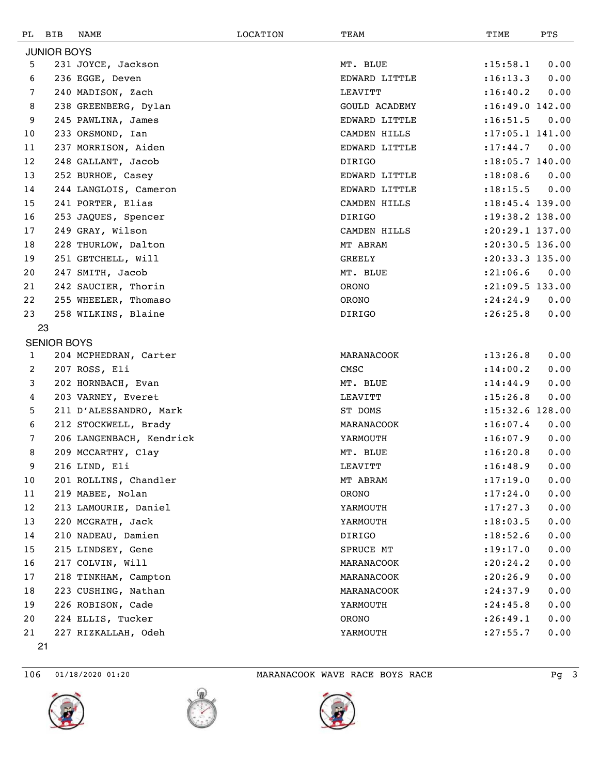| PL | BIB                | NAME                     | <b>LOCATION</b> | TEAM                 | TIME                | PTS  |
|----|--------------------|--------------------------|-----------------|----------------------|---------------------|------|
|    | <b>JUNIOR BOYS</b> |                          |                 |                      |                     |      |
| 5  |                    | 231 JOYCE, Jackson       |                 | MT. BLUE             | : 15:58.1           | 0.00 |
| 6  |                    | 236 EGGE, Deven          |                 | EDWARD LITTLE        | : 16: 13.3          | 0.00 |
| 7  |                    | 240 MADISON, Zach        |                 | LEAVITT              | : 16: 40.2          | 0.00 |
| 8  |                    | 238 GREENBERG, Dylan     |                 | <b>GOULD ACADEMY</b> | :16:49.0 142.00     |      |
| 9  |                    | 245 PAWLINA, James       |                 | EDWARD LITTLE        | : 16: 51.5          | 0.00 |
| 10 |                    | 233 ORSMOND, Ian         |                 | CAMDEN HILLS         | $: 17:05.1$ 141.00  |      |
| 11 |                    | 237 MORRISON, Aiden      |                 | EDWARD LITTLE        | : 17: 44.7          | 0.00 |
| 12 |                    | 248 GALLANT, Jacob       |                 | DIRIGO               | :18:05.7 140.00     |      |
| 13 |                    | 252 BURHOE, Casey        |                 | EDWARD LITTLE        | : 18:08.6           | 0.00 |
| 14 |                    | 244 LANGLOIS, Cameron    |                 | EDWARD LITTLE        | : 18: 15.5          | 0.00 |
| 15 |                    | 241 PORTER, Elias        |                 | CAMDEN HILLS         | $: 18: 45.4$ 139.00 |      |
| 16 |                    | 253 JAQUES, Spencer      |                 | <b>DIRIGO</b>        | :19:38.2 138.00     |      |
| 17 |                    | 249 GRAY, Wilson         |                 | CAMDEN HILLS         | $: 20: 29.1$ 137.00 |      |
| 18 |                    | 228 THURLOW, Dalton      |                 | MT ABRAM             | : 20: 30.5 136.00   |      |
| 19 |                    | 251 GETCHELL, Will       |                 | GREELY               | $: 20: 33.3$ 135.00 |      |
| 20 |                    | 247 SMITH, Jacob         |                 | MT. BLUE             | : 21:06.6           | 0.00 |
| 21 |                    | 242 SAUCIER, Thorin      |                 | <b>ORONO</b>         | : 21:09.5 133.00    |      |
| 22 |                    | 255 WHEELER, Thomaso     |                 | <b>ORONO</b>         | : 24:24.9           | 0.00 |
| 23 |                    | 258 WILKINS, Blaine      |                 | DIRIGO               | : 26:25.8           | 0.00 |
|    | 23                 |                          |                 |                      |                     |      |
|    | <b>SENIOR BOYS</b> |                          |                 |                      |                     |      |
| 1  |                    | 204 MCPHEDRAN, Carter    |                 | MARANACOOK           | : 13: 26.8          | 0.00 |
| 2  |                    | 207 ROSS, Eli            |                 | CMSC                 | : 14:00.2           | 0.00 |
| 3  |                    | 202 HORNBACH, Evan       |                 | MT. BLUE             | : 14: 44.9          | 0.00 |
| 4  |                    | 203 VARNEY, Everet       |                 | LEAVITT              | : 15:26.8           | 0.00 |
| 5  |                    | 211 D'ALESSANDRO, Mark   |                 | ST DOMS              | :15:32.6 128.00     |      |
| 6  |                    | 212 STOCKWELL, Brady     |                 | MARANACOOK           | : 16:07.4           | 0.00 |
| 7  |                    | 206 LANGENBACH, Kendrick |                 | YARMOUTH             | : 16:07.9           | 0.00 |
| 8  |                    | 209 MCCARTHY, Clay       |                 | MT. BLUE             | :16:20.8            | 0.00 |
| 9  |                    | 216 LIND, Eli            |                 | LEAVITT              | : 16: 48.9          | 0.00 |
| 10 |                    | 201 ROLLINS, Chandler    |                 | MT ABRAM             | : 17: 19.0          | 0.00 |
| 11 |                    | 219 MABEE, Nolan         |                 | ORONO                | : 17: 24.0          | 0.00 |
| 12 |                    | 213 LAMOURIE, Daniel     |                 | YARMOUTH             | : 17: 27.3          | 0.00 |
| 13 |                    | 220 MCGRATH, Jack        |                 | YARMOUTH             | : 18: 03.5          | 0.00 |
| 14 |                    | 210 NADEAU, Damien       |                 | DIRIGO               | : 18: 52.6          | 0.00 |
| 15 |                    | 215 LINDSEY, Gene        |                 | SPRUCE MT            | : 19: 17.0          | 0.00 |
| 16 |                    | 217 COLVIN, Will         |                 | MARANACOOK           | : 20: 24.2          | 0.00 |
| 17 |                    | 218 TINKHAM, Campton     |                 | MARANACOOK           | : 20:26.9           | 0.00 |
| 18 |                    | 223 CUSHING, Nathan      |                 | MARANACOOK           | : 24:37.9           | 0.00 |
| 19 |                    | 226 ROBISON, Cade        |                 | YARMOUTH             | : 24:45.8           | 0.00 |
| 20 |                    | 224 ELLIS, Tucker        |                 | <b>ORONO</b>         | : 26: 49.1          | 0.00 |
| 21 |                    | 227 RIZKALLAH, Odeh      |                 | YARMOUTH             | : 27: 55.7          | 0.00 |
|    | 21                 |                          |                 |                      |                     |      |